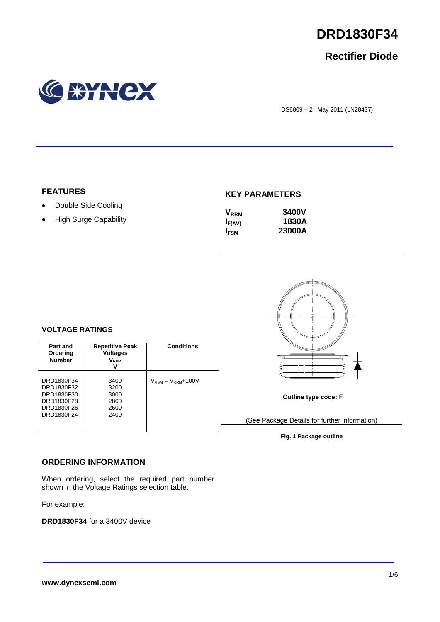

## **Rectifier Diode**



DS6009 – 2 May 2011 (LN28437)

## **FEATURES**

- Double Side Cooling
- High Surge Capability

## **KEY PARAMETERS**

| $V_{RRM}$               | <b>3400V</b> |
|-------------------------|--------------|
| $I_{F(AV)}$             | 1830A        |
| <b>I</b> <sub>FSM</sub> | 23000A       |



**Fig. 1 Package outline**

## **VOLTAGE RATINGS**

| Part and<br>Ordering<br><b>Number</b>                                            | <b>Repetitive Peak</b><br><b>Voltages</b><br>V <sub>rrm</sub><br>v | <b>Conditions</b>                        |
|----------------------------------------------------------------------------------|--------------------------------------------------------------------|------------------------------------------|
| DRD1830F34<br>DRD1830F32<br>DRD1830F30<br>DRD1830F28<br>DRD1830F26<br>DRD1830F24 | 3400<br>3200<br>3000<br>2800<br>2600<br>2400                       | $V_{\text{RSM}} = V_{\text{RRM}} + 100V$ |

## **ORDERING INFORMATION**

When ordering, select the required part number shown in the Voltage Ratings selection table.

For example:

**DRD1830F34** for a 3400V device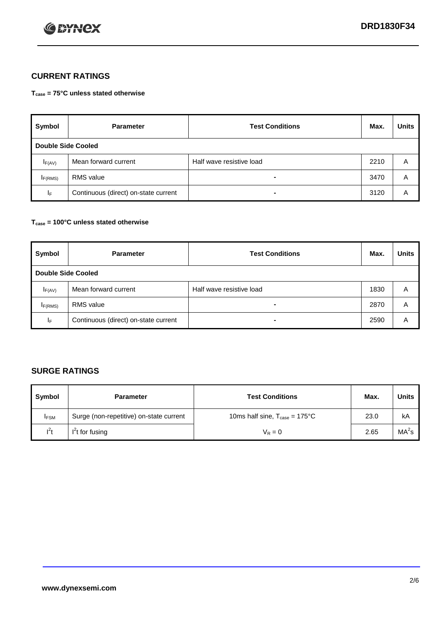

## **CURRENT RATINGS**

**Tcase = 75°C unless stated otherwise**

| Symbol              | <b>Parameter</b>                     | <b>Test Conditions</b>   | Max. | <b>Units</b> |  |  |
|---------------------|--------------------------------------|--------------------------|------|--------------|--|--|
|                     | Double Side Cooled                   |                          |      |              |  |  |
| $I_{F(AV)}$         | Mean forward current                 | Half wave resistive load | 2210 | A            |  |  |
| I <sub>F(RMS)</sub> | <b>RMS</b> value                     |                          | 3470 | A            |  |  |
| ΙF                  | Continuous (direct) on-state current | ۰                        | 3120 | A            |  |  |

### **Tcase = 100°C unless stated otherwise**

| Symbol              | <b>Parameter</b>                     | <b>Test Conditions</b>   | Max. | <b>Units</b> |  |  |
|---------------------|--------------------------------------|--------------------------|------|--------------|--|--|
|                     | <b>Double Side Cooled</b>            |                          |      |              |  |  |
| $I_{F(AV)}$         | Mean forward current                 | Half wave resistive load | 1830 | Α            |  |  |
| I <sub>F(RMS)</sub> | <b>RMS</b> value                     | $\blacksquare$           | 2870 | Α            |  |  |
| IF                  | Continuous (direct) on-state current | $\blacksquare$           | 2590 | A            |  |  |

## **SURGE RATINGS**

| Symbol      | <b>Parameter</b>                        | <b>Test Conditions</b>                           | Max. | <b>Units</b>      |
|-------------|-----------------------------------------|--------------------------------------------------|------|-------------------|
| <b>IFSM</b> | Surge (non-repetitive) on-state current | 10ms half sine, $T_{\text{case}} = 175^{\circ}C$ | 23.0 | kA                |
| $I^2t$      | I <sup>'</sup> t for fusing             | $V_R = 0$                                        | 2.65 | MA <sup>2</sup> s |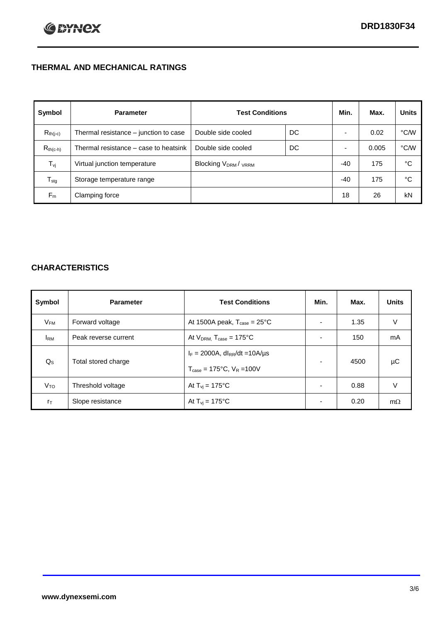## **THERMAL AND MECHANICAL RATINGS**

| Symbol           | <b>Parameter</b>                      | <b>Test Conditions</b>                      |    | Min.  | Max.  | <b>Units</b> |
|------------------|---------------------------------------|---------------------------------------------|----|-------|-------|--------------|
| $R_{th(j-c)}$    | Thermal resistance – junction to case | Double side cooled                          | DC |       | 0.02  | °C/W         |
| $R_{th(c-h)}$    | Thermal resistance – case to heatsink | Double side cooled                          | DC |       | 0.005 | °C/W         |
| $T_{\rm vj}$     | Virtual junction temperature          | Blocking V <sub>DRM</sub> / <sub>VRRM</sub> |    | $-40$ | 175   | °C           |
| $T_{\text{stg}}$ | Storage temperature range             |                                             |    | $-40$ | 175   | °C           |
| $F_m$            | Clamping force                        |                                             |    | 18    | 26    | kN           |

## **CHARACTERISTICS**

| Symbol                   | <b>Parameter</b>     | <b>Test Conditions</b>                                                                           | Min.           | Max. | <b>Units</b> |
|--------------------------|----------------------|--------------------------------------------------------------------------------------------------|----------------|------|--------------|
| $\mathsf{V}_\mathsf{FM}$ | Forward voltage      | At 1500A peak, $T_{\text{case}} = 25^{\circ}C$                                                   |                | 1.35 | V            |
| <b>I</b> <sub>RM</sub>   | Peak reverse current | At $V_{DRM}$ , $T_{case} = 175^{\circ}C$                                                         | ۰              | 150  | mA           |
| $Q_{\rm S}$              | Total stored charge  | $I_F = 2000A$ , dl <sub>RR</sub> /dt = 10A/us<br>$T_{\text{case}} = 175^{\circ}C$ , $V_R = 100V$ | $\blacksquare$ | 4500 | μC           |
| V <sub>TO</sub>          | Threshold voltage    | At $T_{vi} = 175^{\circ}C$                                                                       | $\blacksquare$ | 0.88 | V            |
| $r_{\text{T}}$           | Slope resistance     | At $T_{vi} = 175^{\circ}C$                                                                       | ۰              | 0.20 | $m\Omega$    |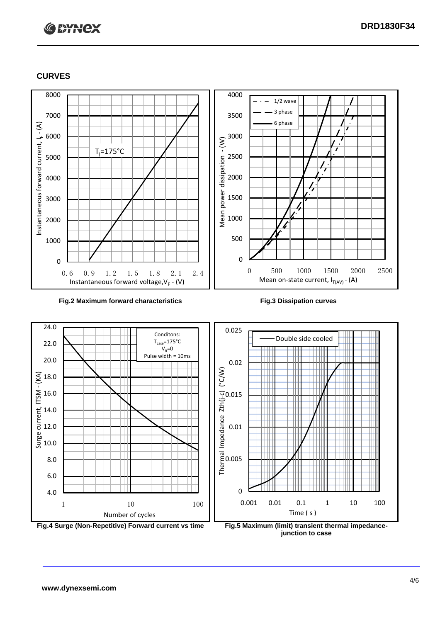# **C BYNCX**

## **CURVES**



### **Fig.2 Maximum forward characteristics Fig.3 Dissipation curves**



**junction to case**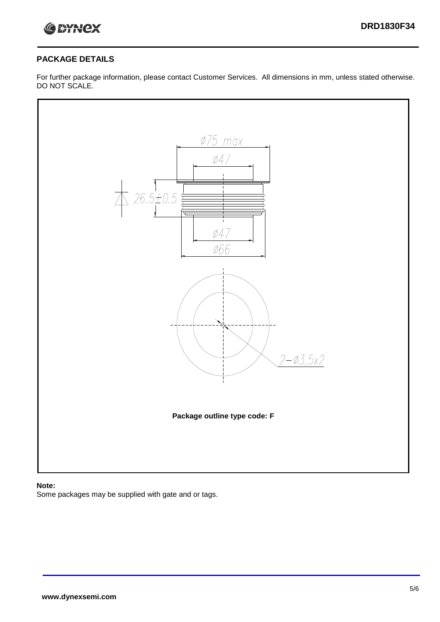

## **PACKAGE DETAILS**

For further package information, please contact Customer Services. All dimensions in mm, unless stated otherwise. DO NOT SCALE.



## **Note:**

Some packages may be supplied with gate and or tags.